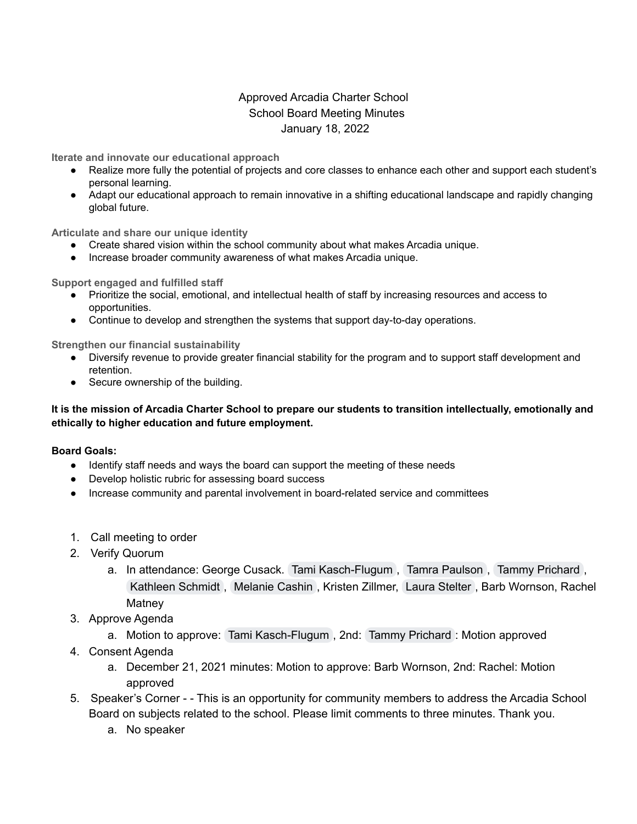## Approved Arcadia Charter School School Board Meeting Minutes January 18, 2022

**Iterate and innovate our educational approach**

- Realize more fully the potential of projects and core classes to enhance each other and support each student's personal learning.
- Adapt our educational approach to remain innovative in a shifting educational landscape and rapidly changing global future.

**Articulate and share our unique identity**

- Create shared vision within the school community about what makes Arcadia unique.
- Increase broader community awareness of what makes Arcadia unique.

**Support engaged and fulfilled staff**

- Prioritize the social, emotional, and intellectual health of staff by increasing resources and access to opportunities.
- Continue to develop and strengthen the systems that support day-to-day operations.

**Strengthen our financial sustainability**

- Diversify revenue to provide greater financial stability for the program and to support staff development and retention.
- Secure ownership of the building.

## It is the mission of Arcadia Charter School to prepare our students to transition intellectually, emotionally and **ethically to higher education and future employment.**

## **Board Goals:**

- Identify staff needs and ways the board can support the meeting of these needs
- Develop holistic rubric for assessing board success
- Increase community and parental involvement in board-related service and committees
- 1. Call meeting to order
- 2. Verify Quorum
	- a. In attendance: George Cusack. Tami [Kasch-Flugum](mailto:tkasch-flugum@arcadiacharterschool.org) , Tamra [Paulson](mailto:tpaulson@arcadiacharterschool.org) , Tammy [Prichard](mailto:tprichard@arcadiacharterschool.org) , [Kathleen](mailto:kaschmidt1953@gmail.com) Schmidt , [Melanie](mailto:mcashin@artech.k12.mn.us) Cashin , Kristen Zillmer, Laura [Stelter](mailto:priority@arcadiacharterschool.org) , Barb Wornson, Rachel **Matney**
- 3. Approve Agenda
	- a. Motion to approve: Tami [Kasch-Flugum](mailto:tkasch-flugum@arcadiacharterschool.org) , 2nd: Tammy [Prichard](mailto:tprichard@arcadiacharterschool.org) : Motion approved
- 4. Consent Agenda
	- a. December 21, 2021 minutes: Motion to approve: Barb Wornson, 2nd: Rachel: Motion approved
- 5. Speaker's Corner - This is an opportunity for community members to address the Arcadia School Board on subjects related to the school. Please limit comments to three minutes. Thank you.
	- a. No speaker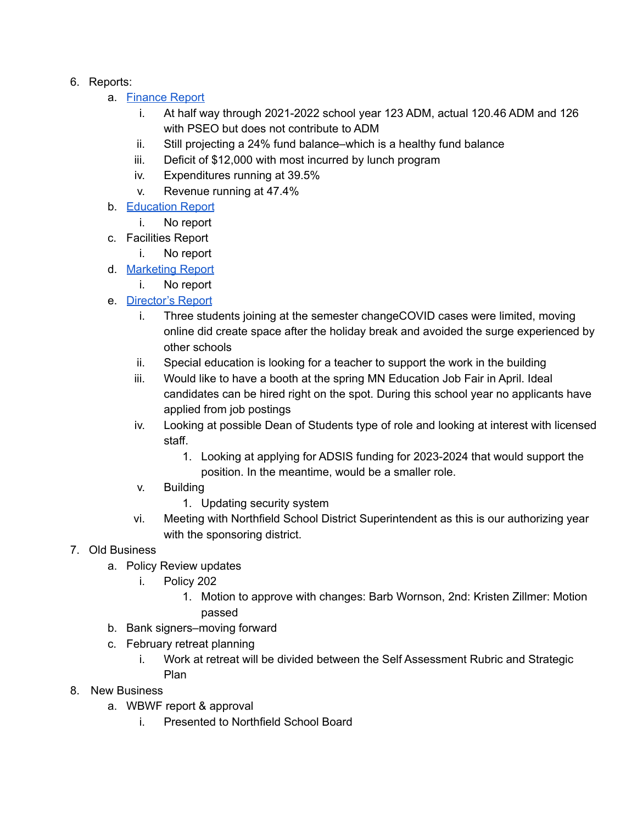- 6. Reports:
	- a. [Finance](https://docs.google.com/document/d/1BjsiUuxKjKolF3t7HP_uSMr8MyHGnBn4nwjhrjhAdAE/edit?usp=sharing) Report
		- i. At half way through 2021-2022 school year 123 ADM, actual 120.46 ADM and 126 with PSEO but does not contribute to ADM
		- ii. Still projecting a 24% fund balance–which is a healthy fund balance
		- iii. Deficit of \$12,000 with most incurred by lunch program
		- iv. Expenditures running at 39.5%
		- v. Revenue running at 47.4%
	- b. [Education](https://docs.google.com/document/d/13Ap8L6O9Gf9K0aWiVdRqEdiTDxv3ueesdUEBDTXAZ7Y/edit?usp=sharing) Report
		- i. No report
	- c. Facilities Report
		- i. No report
	- d. [Marketing](https://docs.google.com/document/d/1cU_KS06PRRIYZToxbUqqT2nimj6QhmLIy7G0I1D0auE/edit?usp=sharing) Report
		- i. No report
	- e. [Director's](https://docs.google.com/document/d/1MIhGk3TST3sV8MPqK5IrPyxDax-dMCdGCv28NUz6q5M/edit?usp=sharingDax-dMCdGCv28NUz6q5M/edit17Fg8/edit) Report
		- i. Three students joining at the semester changeCOVID cases were limited, moving online did create space after the holiday break and avoided the surge experienced by other schools
		- ii. Special education is looking for a teacher to support the work in the building
		- iii. Would like to have a booth at the spring MN Education Job Fair in April. Ideal candidates can be hired right on the spot. During this school year no applicants have applied from job postings
		- iv. Looking at possible Dean of Students type of role and looking at interest with licensed staff.
			- 1. Looking at applying for ADSIS funding for 2023-2024 that would support the position. In the meantime, would be a smaller role.
		- v. Building
			- 1. Updating security system
		- vi. Meeting with Northfield School District Superintendent as this is our authorizing year with the sponsoring district.
- 7. Old Business
	- a. Policy Review updates
		- i. Policy 202
			- 1. Motion to approve with changes: Barb Wornson, 2nd: Kristen Zillmer: Motion passed
	- b. Bank signers–moving forward
	- c. February retreat planning
		- i. Work at retreat will be divided between the Self Assessment Rubric and Strategic Plan
- 8. New Business
	- a. WBWF report & approval
		- i. Presented to Northfield School Board